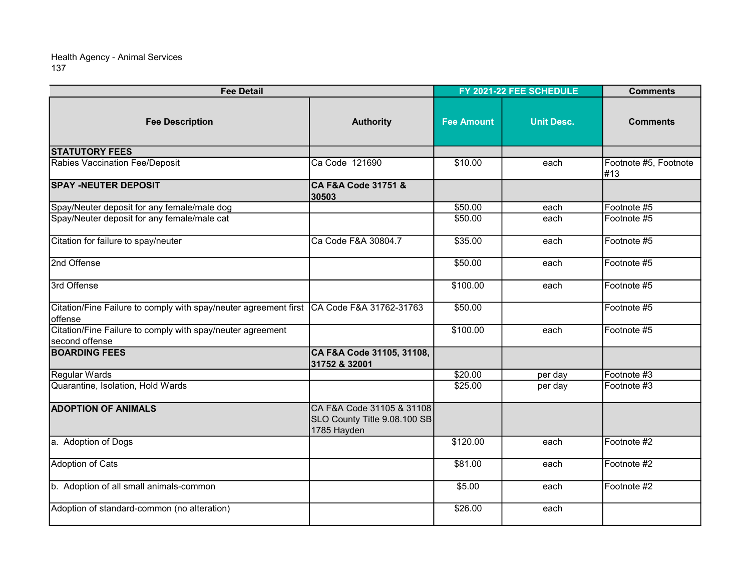| <b>Fee Detail</b>                                                                                   |                                                                          | FY 2021-22 FEE SCHEDULE |                   | <b>Comments</b>              |
|-----------------------------------------------------------------------------------------------------|--------------------------------------------------------------------------|-------------------------|-------------------|------------------------------|
| <b>Fee Description</b>                                                                              | <b>Authority</b>                                                         | <b>Fee Amount</b>       | <b>Unit Desc.</b> | <b>Comments</b>              |
| <b>STATUTORY FEES</b>                                                                               |                                                                          |                         |                   |                              |
| Rabies Vaccination Fee/Deposit                                                                      | Ca Code 121690                                                           | \$10.00                 | each              | Footnote #5, Footnote<br>#13 |
| <b>SPAY -NEUTER DEPOSIT</b>                                                                         | CA F&A Code 31751 &<br>30503                                             |                         |                   |                              |
| Spay/Neuter deposit for any female/male dog                                                         |                                                                          | \$50.00                 | each              | Footnote #5                  |
| Spay/Neuter deposit for any female/male cat                                                         |                                                                          | \$50.00                 | each              | Footnote #5                  |
| Citation for failure to spay/neuter                                                                 | Ca Code F&A 30804.7                                                      | \$35.00                 | each              | Footnote #5                  |
| 2nd Offense                                                                                         |                                                                          | \$50.00                 | each              | Footnote #5                  |
| 3rd Offense                                                                                         |                                                                          | \$100.00                | each              | Footnote #5                  |
| Citation/Fine Failure to comply with spay/neuter agreement first CA Code F&A 31762-31763<br>offense |                                                                          | \$50.00                 |                   | Footnote #5                  |
| Citation/Fine Failure to comply with spay/neuter agreement<br>Isecond offense                       |                                                                          | \$100.00                | each              | Footnote #5                  |
| <b>BOARDING FEES</b>                                                                                | CA F&A Code 31105, 31108,<br>31752 & 32001                               |                         |                   |                              |
| Regular Wards                                                                                       |                                                                          | \$20.00                 | per day           | Footnote #3                  |
| Quarantine, Isolation, Hold Wards                                                                   |                                                                          | \$25.00                 | per day           | Footnote #3                  |
| <b>ADOPTION OF ANIMALS</b>                                                                          | CA F&A Code 31105 & 31108<br>SLO County Title 9.08.100 SB<br>1785 Hayden |                         |                   |                              |
| a. Adoption of Dogs                                                                                 |                                                                          | \$120.00                | each              | Footnote #2                  |
| <b>Adoption of Cats</b>                                                                             |                                                                          | \$81.00                 | each              | Footnote #2                  |
| b. Adoption of all small animals-common                                                             |                                                                          | \$5.00                  | each              | Footnote #2                  |
| Adoption of standard-common (no alteration)                                                         |                                                                          | \$26.00                 | each              |                              |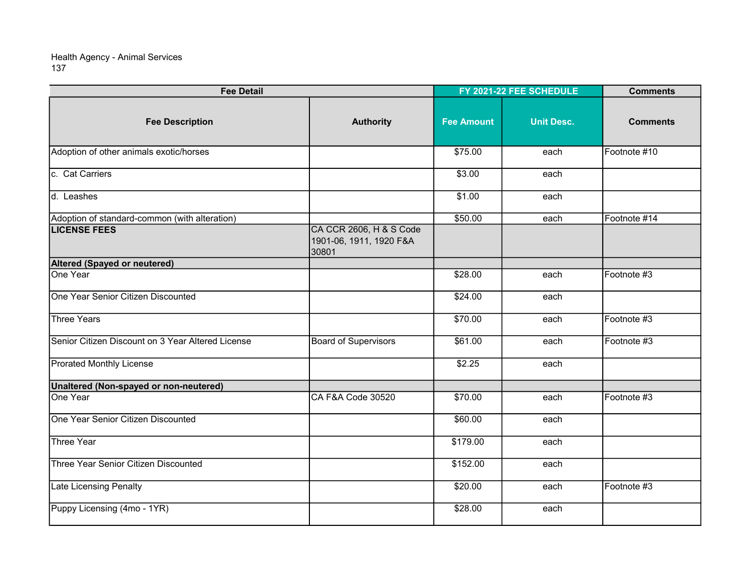| <b>Fee Detail</b>                                 |                                                             | FY 2021-22 FEE SCHEDULE |                   | <b>Comments</b> |
|---------------------------------------------------|-------------------------------------------------------------|-------------------------|-------------------|-----------------|
| <b>Fee Description</b>                            | <b>Authority</b>                                            | <b>Fee Amount</b>       | <b>Unit Desc.</b> | <b>Comments</b> |
| Adoption of other animals exotic/horses           |                                                             | \$75.00                 | each              | Footnote #10    |
| c. Cat Carriers                                   |                                                             | \$3.00                  | each              |                 |
| d. Leashes                                        |                                                             | \$1.00                  | each              |                 |
| Adoption of standard-common (with alteration)     |                                                             | \$50.00                 | each              | Footnote #14    |
| <b>LICENSE FEES</b>                               | CA CCR 2606, H & S Code<br>1901-06, 1911, 1920 F&A<br>30801 |                         |                   |                 |
| Altered (Spayed or neutered)                      |                                                             |                         |                   |                 |
| One Year                                          |                                                             | \$28.00                 | each              | Footnote #3     |
| One Year Senior Citizen Discounted                |                                                             | \$24.00                 | each              |                 |
| <b>Three Years</b>                                |                                                             | \$70.00                 | each              | Footnote #3     |
| Senior Citizen Discount on 3 Year Altered License | <b>Board of Supervisors</b>                                 | \$61.00                 | each              | Footnote #3     |
| <b>Prorated Monthly License</b>                   |                                                             | \$2.25                  | each              |                 |
| Unaltered (Non-spayed or non-neutered)            |                                                             |                         |                   |                 |
| One Year                                          | CA F&A Code 30520                                           | \$70.00                 | each              | Footnote #3     |
| One Year Senior Citizen Discounted                |                                                             | \$60.00                 | each              |                 |
| <b>Three Year</b>                                 |                                                             | \$179.00                | each              |                 |
| Three Year Senior Citizen Discounted              |                                                             | \$152.00                | each              |                 |
| Late Licensing Penalty                            |                                                             | \$20.00                 | each              | Footnote #3     |
| Puppy Licensing (4mo - 1YR)                       |                                                             | \$28.00                 | each              |                 |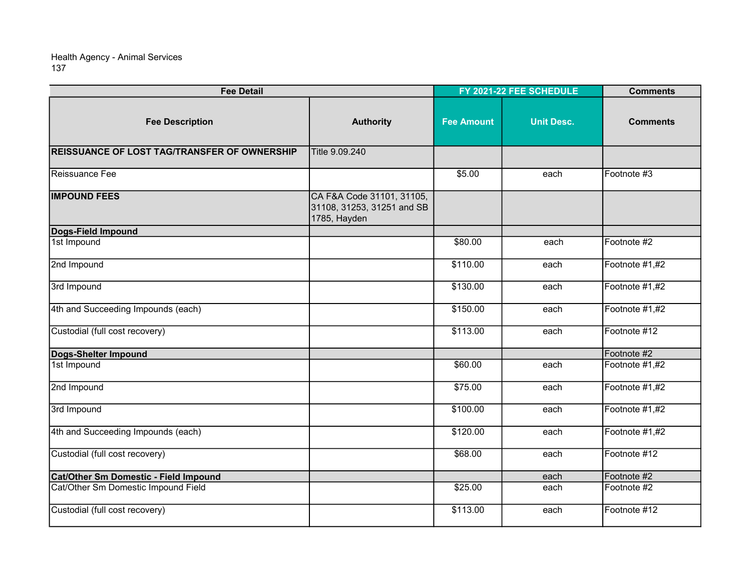| <b>Fee Detail</b>                                   |                                                                         | FY 2021-22 FEE SCHEDULE |                   | <b>Comments</b> |
|-----------------------------------------------------|-------------------------------------------------------------------------|-------------------------|-------------------|-----------------|
| <b>Fee Description</b>                              | <b>Authority</b>                                                        | <b>Fee Amount</b>       | <b>Unit Desc.</b> | <b>Comments</b> |
| <b>REISSUANCE OF LOST TAG/TRANSFER OF OWNERSHIP</b> | Title 9.09.240                                                          |                         |                   |                 |
| Reissuance Fee                                      |                                                                         | \$5.00                  | each              | Footnote #3     |
| <b>IMPOUND FEES</b>                                 | CA F&A Code 31101, 31105,<br>31108, 31253, 31251 and SB<br>1785, Hayden |                         |                   |                 |
| Dogs-Field Impound                                  |                                                                         |                         |                   |                 |
| 1st Impound                                         |                                                                         | \$80.00                 | each              | Footnote #2     |
| 2nd Impound                                         |                                                                         | \$110.00                | each              | Footnote #1,#2  |
| 3rd Impound                                         |                                                                         | \$130.00                | each              | Footnote #1,#2  |
| 4th and Succeeding Impounds (each)                  |                                                                         | \$150.00                | each              | Footnote #1,#2  |
| Custodial (full cost recovery)                      |                                                                         | \$113.00                | each              | Footnote #12    |
| Dogs-Shelter Impound                                |                                                                         |                         |                   | Footnote #2     |
| 1st Impound                                         |                                                                         | \$60.00                 | each              | Footnote #1,#2  |
| 2nd Impound                                         |                                                                         | \$75.00                 | each              | Footnote #1,#2  |
| 3rd Impound                                         |                                                                         | \$100.00                | each              | Footnote #1,#2  |
| 4th and Succeeding Impounds (each)                  |                                                                         | \$120.00                | each              | Footnote #1,#2  |
| Custodial (full cost recovery)                      |                                                                         | \$68.00                 | each              | Footnote #12    |
| Cat/Other Sm Domestic - Field Impound               |                                                                         |                         | each              | Footnote #2     |
| Cat/Other Sm Domestic Impound Field                 |                                                                         | \$25.00                 | each              | Footnote #2     |
| Custodial (full cost recovery)                      |                                                                         | \$113.00                | each              | Footnote #12    |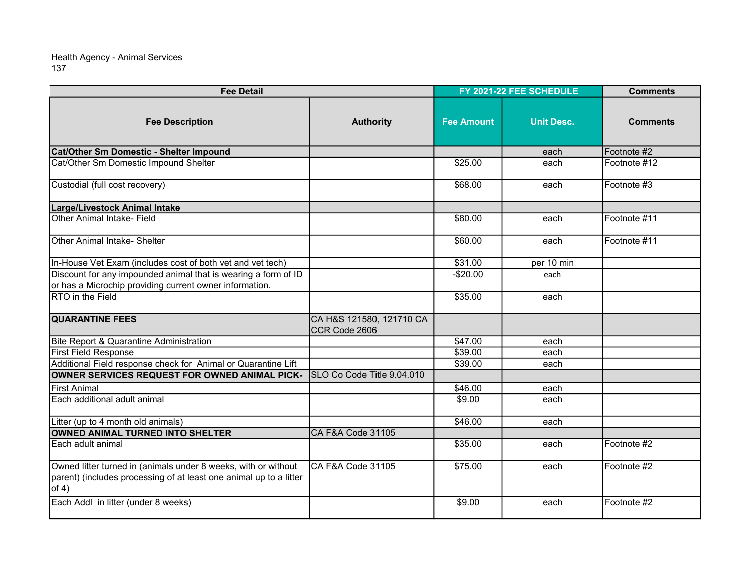| <b>Fee Detail</b>                                                                                                                             |                                           | FY 2021-22 FEE SCHEDULE |                   | <b>Comments</b> |
|-----------------------------------------------------------------------------------------------------------------------------------------------|-------------------------------------------|-------------------------|-------------------|-----------------|
| <b>Fee Description</b>                                                                                                                        | <b>Authority</b>                          | <b>Fee Amount</b>       | <b>Unit Desc.</b> | <b>Comments</b> |
| Cat/Other Sm Domestic - Shelter Impound                                                                                                       |                                           |                         | each              | Footnote #2     |
| Cat/Other Sm Domestic Impound Shelter                                                                                                         |                                           | \$25.00                 | each              | Footnote #12    |
| Custodial (full cost recovery)                                                                                                                |                                           | \$68.00                 | each              | Footnote #3     |
| Large/Livestock Animal Intake                                                                                                                 |                                           |                         |                   |                 |
| Other Animal Intake- Field                                                                                                                    |                                           | \$80.00                 | each              | Footnote #11    |
| <b>Other Animal Intake- Shelter</b>                                                                                                           |                                           | \$60.00                 | each              | Footnote #11    |
| In-House Vet Exam (includes cost of both vet and vet tech)                                                                                    |                                           | \$31.00                 | per 10 min        |                 |
| Discount for any impounded animal that is wearing a form of ID                                                                                |                                           | $-$20.00$               | each              |                 |
| or has a Microchip providing current owner information.                                                                                       |                                           |                         |                   |                 |
| <b>RTO</b> in the Field                                                                                                                       |                                           | \$35.00                 | each              |                 |
| <b>QUARANTINE FEES</b>                                                                                                                        | CA H&S 121580, 121710 CA<br>CCR Code 2606 |                         |                   |                 |
| Bite Report & Quarantine Administration                                                                                                       |                                           | \$47.00                 | each              |                 |
| <b>First Field Response</b>                                                                                                                   |                                           | \$39.00                 | each              |                 |
| Additional Field response check for Animal or Quarantine Lift                                                                                 |                                           | \$39.00                 | each              |                 |
| OWNER SERVICES REQUEST FOR OWNED ANIMAL PICK-                                                                                                 | SLO Co Code Title 9.04.010                |                         |                   |                 |
| <b>IFirst Animal</b>                                                                                                                          |                                           | \$46.00                 | each              |                 |
| Each additional adult animal                                                                                                                  |                                           | \$9.00                  | each              |                 |
| Litter (up to 4 month old animals)                                                                                                            |                                           | \$46.00                 | each              |                 |
| OWNED ANIMAL TURNED INTO SHELTER                                                                                                              | CA F&A Code 31105                         |                         |                   |                 |
| Each adult animal                                                                                                                             |                                           | \$35.00                 | each              | Footnote #2     |
| Owned litter turned in (animals under 8 weeks, with or without<br>parent) (includes processing of at least one animal up to a litter<br>of 4) | CA F&A Code 31105                         | \$75.00                 | each              | Footnote #2     |
| Each Addl in litter (under 8 weeks)                                                                                                           |                                           | \$9.00                  | each              | Footnote #2     |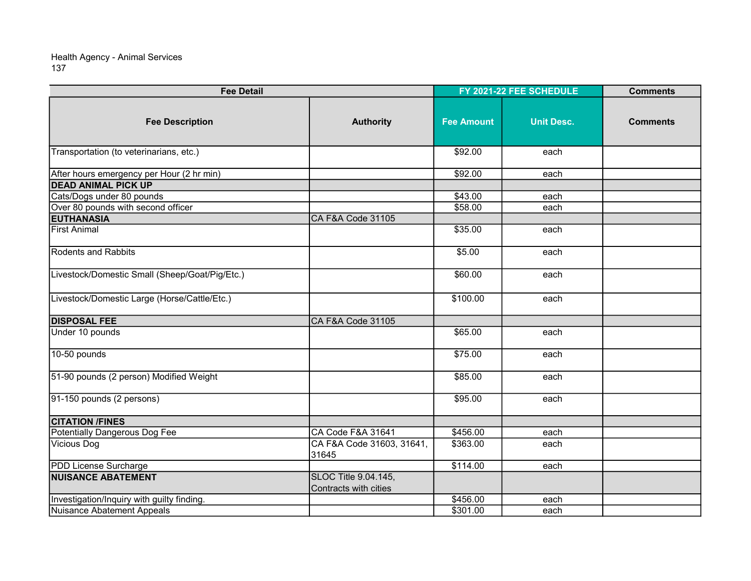| <b>Fee Detail</b>                              |                                               | FY 2021-22 FEE SCHEDULE |                   | <b>Comments</b> |
|------------------------------------------------|-----------------------------------------------|-------------------------|-------------------|-----------------|
| <b>Fee Description</b>                         | <b>Authority</b>                              | <b>Fee Amount</b>       | <b>Unit Desc.</b> | <b>Comments</b> |
| Transportation (to veterinarians, etc.)        |                                               | \$92.00                 | each              |                 |
| After hours emergency per Hour (2 hr min)      |                                               | \$92.00                 | each              |                 |
| <b>DEAD ANIMAL PICK UP</b>                     |                                               |                         |                   |                 |
| Cats/Dogs under 80 pounds                      |                                               | \$43.00                 | each              |                 |
| Over 80 pounds with second officer             |                                               | \$58.00                 | each              |                 |
| <b>EUTHANASIA</b>                              | CA F&A Code 31105                             |                         |                   |                 |
| <b>First Animal</b>                            |                                               | \$35.00                 | each              |                 |
| <b>Rodents and Rabbits</b>                     |                                               | \$5.00                  | each              |                 |
| Livestock/Domestic Small (Sheep/Goat/Pig/Etc.) |                                               | \$60.00                 | each              |                 |
| Livestock/Domestic Large (Horse/Cattle/Etc.)   |                                               | \$100.00                | each              |                 |
| <b>DISPOSAL FEE</b>                            | CA F&A Code 31105                             |                         |                   |                 |
| Under 10 pounds                                |                                               | \$65.00                 | each              |                 |
| $10-50$ pounds                                 |                                               | \$75.00                 | each              |                 |
| 51-90 pounds (2 person) Modified Weight        |                                               | \$85.00                 | each              |                 |
| 91-150 pounds (2 persons)                      |                                               | \$95.00                 | each              |                 |
| <b>CITATION /FINES</b>                         |                                               |                         |                   |                 |
| Potentially Dangerous Dog Fee                  | CA Code F&A 31641                             | \$456.00                | each              |                 |
| Vicious Dog                                    | CA F&A Code 31603, 31641,<br>31645            | \$363.00                | each              |                 |
| PDD License Surcharge                          |                                               | \$114.00                | each              |                 |
| <b>NUISANCE ABATEMENT</b>                      | SLOC Title 9.04.145,<br>Contracts with cities |                         |                   |                 |
| Investigation/Inquiry with guilty finding.     |                                               | \$456.00                | each              |                 |
| Nuisance Abatement Appeals                     |                                               | \$301.00                | each              |                 |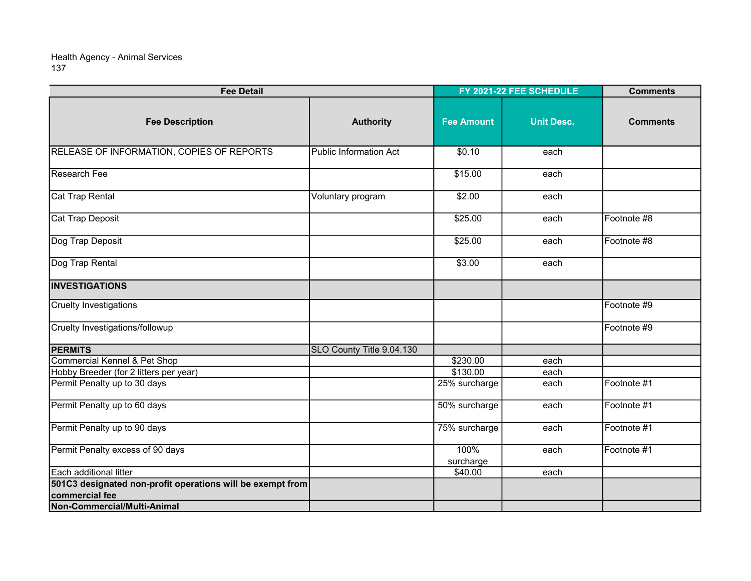| <b>Fee Detail</b>                                          |                               | FY 2021-22 FEE SCHEDULE |                   | <b>Comments</b> |
|------------------------------------------------------------|-------------------------------|-------------------------|-------------------|-----------------|
| <b>Fee Description</b>                                     | <b>Authority</b>              | <b>Fee Amount</b>       | <b>Unit Desc.</b> | <b>Comments</b> |
| <b>RELEASE OF INFORMATION, COPIES OF REPORTS</b>           | <b>Public Information Act</b> | \$0.10                  | each              |                 |
| Research Fee                                               |                               | \$15.00                 | each              |                 |
| Cat Trap Rental                                            | Voluntary program             | \$2.00                  | each              |                 |
| Cat Trap Deposit                                           |                               | \$25.00                 | each              | Footnote #8     |
| Dog Trap Deposit                                           |                               | \$25.00                 | each              | Footnote #8     |
| Dog Trap Rental                                            |                               | \$3.00                  | each              |                 |
| <b>INVESTIGATIONS</b>                                      |                               |                         |                   |                 |
| Cruelty Investigations                                     |                               |                         |                   | Footnote #9     |
| Cruelty Investigations/followup                            |                               |                         |                   | Footnote #9     |
| <b>PERMITS</b>                                             | SLO County Title 9.04.130     |                         |                   |                 |
| Commercial Kennel & Pet Shop                               |                               | \$230.00                | each              |                 |
| Hobby Breeder (for 2 litters per year)                     |                               | \$130.00                | each              |                 |
| Permit Penalty up to 30 days                               |                               | 25% surcharge           | each              | Footnote #1     |
| Permit Penalty up to 60 days                               |                               | 50% surcharge           | each              | Footnote #1     |
| Permit Penalty up to 90 days                               |                               | 75% surcharge           | each              | Footnote #1     |
| Permit Penalty excess of 90 days                           |                               | 100%<br>surcharge       | each              | Footnote #1     |
| Each additional litter                                     |                               | \$40.00                 | each              |                 |
| 501C3 designated non-profit operations will be exempt from |                               |                         |                   |                 |
| commercial fee                                             |                               |                         |                   |                 |
| Non-Commercial/Multi-Animal                                |                               |                         |                   |                 |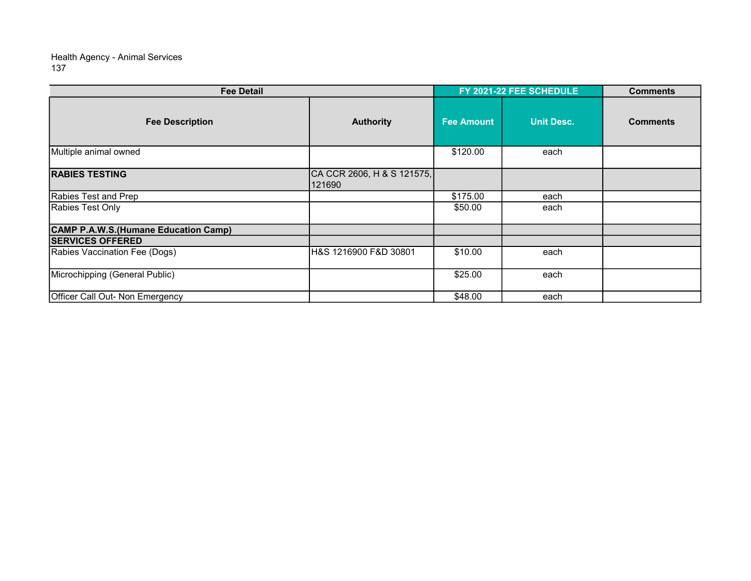| <b>Fee Detail</b>                     |                                      | FY 2021-22 FEE SCHEDULE |                   | <b>Comments</b> |
|---------------------------------------|--------------------------------------|-------------------------|-------------------|-----------------|
| <b>Fee Description</b>                | <b>Authority</b>                     | <b>Fee Amount</b>       | <b>Unit Desc.</b> | <b>Comments</b> |
| Multiple animal owned                 |                                      | \$120.00                | each              |                 |
| <b>RABIES TESTING</b>                 | CA CCR 2606, H & S 121575,<br>121690 |                         |                   |                 |
| Rabies Test and Prep                  |                                      | \$175.00                | each              |                 |
| Rabies Test Only                      |                                      | \$50.00                 | each              |                 |
| CAMP P.A.W.S. (Humane Education Camp) |                                      |                         |                   |                 |
| <b>SERVICES OFFERED</b>               |                                      |                         |                   |                 |
| Rabies Vaccination Fee (Dogs)         | H&S 1216900 F&D 30801                | \$10.00                 | each              |                 |
| Microchipping (General Public)        |                                      | \$25.00                 | each              |                 |
| Officer Call Out- Non Emergency       |                                      | \$48.00                 | each              |                 |